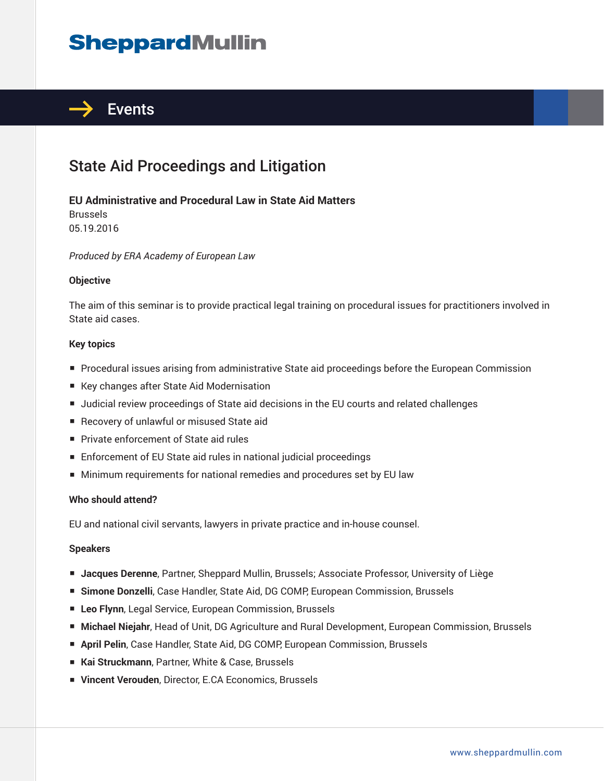# **SheppardMullin**



## State Aid Proceedings and Litigation

#### **EU Administrative and Procedural Law in State Aid Matters** Brussels

05.19.2016

*Produced by ERA Academy of European Law*

#### **Objective**

The aim of this seminar is to provide practical legal training on procedural issues for practitioners involved in State aid cases.

#### **Key topics**

- Procedural issues arising from administrative State aid proceedings before the European Commission
- Key changes after State Aid Modernisation
- Judicial review proceedings of State aid decisions in the EU courts and related challenges
- Recovery of unlawful or misused State aid
- Private enforcement of State aid rules
- Enforcement of EU State aid rules in national judicial proceedings
- Minimum requirements for national remedies and procedures set by EU law

#### **Who should attend?**

EU and national civil servants, lawyers in private practice and in-house counsel.

#### **Speakers**

- **Jacques Derenne**, Partner, Sheppard Mullin, Brussels; Associate Professor, University of Liège
- **Simone Donzelli**, Case Handler, State Aid, DG COMP, European Commission, Brussels
- Leo Flynn, Legal Service, European Commission, Brussels
- **Michael Niejahr**, Head of Unit, DG Agriculture and Rural Development, European Commission, Brussels
- **April Pelin**, Case Handler, State Aid, DG COMP, European Commission, Brussels
- Kai Struckmann, Partner, White & Case, Brussels
- **Vincent Verouden**, Director, E.CA Economics, Brussels